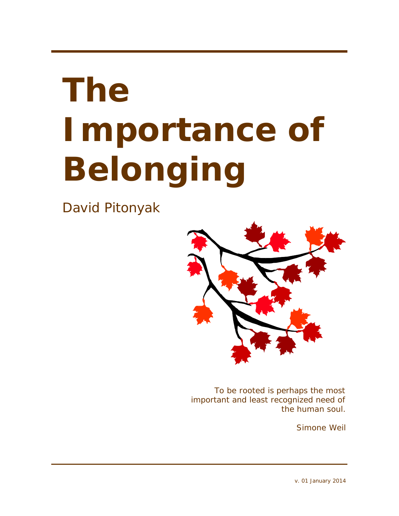# **The Importance of Belonging**

David Pitonyak



*To be rooted is perhaps the most important and least recognized need of the human soul.*

*Simone Weil*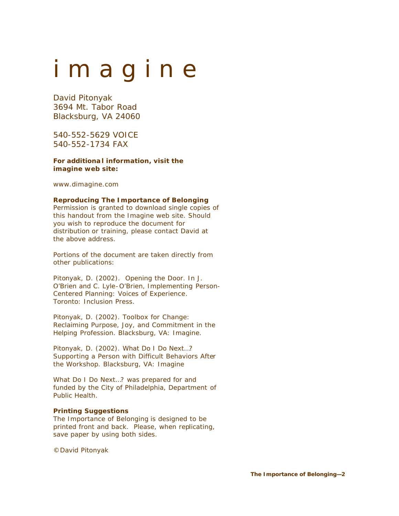## i m a g i n e

David Pitonyak 3694 Mt. Tabor Road Blacksburg, VA 24060

540-552-5629 VOICE 540-552-1734 FAX

**For additional information, visit the imagine web site:**

www.dimagine.com

#### **Reproducing** *The Importance of Belonging*

Permission is granted to download single copies of this handout from the Imagine web site. Should you wish to reproduce the document for distribution or training, please contact David at the above address.

Portions of the document are taken directly from other publications:

Pitonyak, D. (2002). Opening the Door. In J. O'Brien and C. Lyle-O'Brien, *Implementing Person-Centered Planning: Voices of Experience.* Toronto: Inclusion Press.

Pitonyak, D. (2002). *Toolbox for Change: Reclaiming Purpose, Joy, and Commitment in the Helping Profession.* Blacksburg, VA: Imagine.

Pitonyak, D. (2002). *What Do I Do Next…? Supporting a Person with Difficult Behaviors After the Workshop.* Blacksburg, VA: Imagine

*What Do I Do Next…?* was prepared for and funded by the City of Philadelphia, Department of Public Health.

#### **Printing Suggestions**

*The Importance of Belonging* is designed to be printed front and back. Please, when replicating, save paper by using both sides.

©David Pitonyak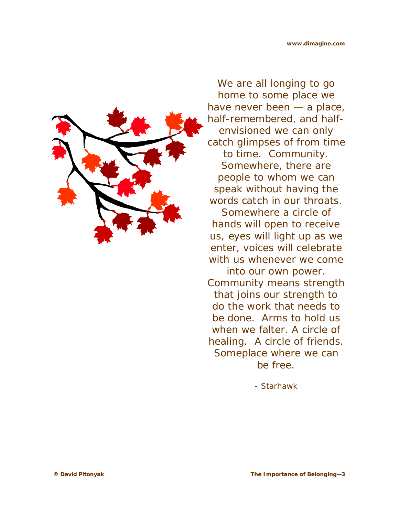

*We are all longing to go home to some place we have never been — a place, half-remembered, and halfenvisioned we can only catch glimpses of from time to time. Community. Somewhere, there are people to whom we can speak without having the words catch in our throats. Somewhere a circle of hands will open to receive us, eyes will light up as we enter, voices will celebrate with us whenever we come into our own power. Community means strength that joins our strength to do the work that needs to be done. Arms to hold us when we falter. A circle of healing. A circle of friends. Someplace where we can be free.*

- Starhawk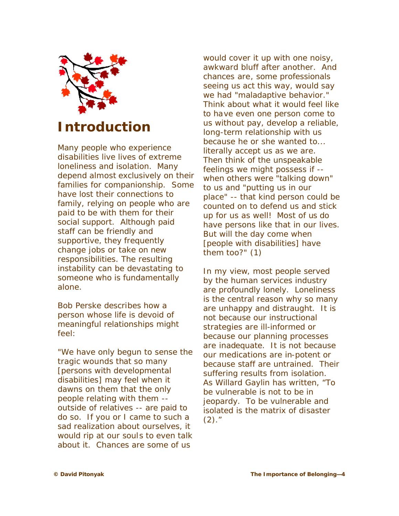

### **Introduction**

Many people who experience disabilities live lives of extreme loneliness and isolation. Many depend almost exclusively on their families for companionship. Some have lost their connections to family, relying on people who are paid to be with them for their social support. Although paid staff can be friendly and supportive, they frequently change jobs or take on new responsibilities. The resulting instability can be devastating to someone who is fundamentally alone.

Bob Perske describes how a person whose life is devoid of meaningful relationships might feel:

*"We have only begun to sense the tragic wounds that so many [persons with developmental disabilities] may feel when it dawns on them that the only people relating with them - outside of relatives -- are paid to do so. If you or I came to such a sad realization about ourselves, it would rip at our souls to even talk about it. Chances are some of us* 

*would cover it up with one noisy, awkward bluff after another. And chances are, some professionals seeing us act this way, would say we had "maladaptive behavior." Think about what it would feel like to have even one person come to us without pay, develop a reliable, long-term relationship with us because he or she wanted to... literally accept us as we are. Then think of the unspeakable feelings we might possess if - when others were "talking down" to us and "putting us in our place" -- that kind person could be counted on to defend us and stick up for us as well! Most of us do have persons like that in our lives. But will the day come when [people with disabilities] have them too?"* (1)

In my view, most people served by the human services industry are profoundly lonely. Loneliness is the central reason why so many are unhappy and distraught. It is not because our instructional strategies are ill-informed or because our planning processes are inadequate. It is not because our medications are in-potent or because staff are untrained. Their suffering results from isolation. As Willard Gaylin has written, "To be vulnerable is not to be in jeopardy. To be vulnerable and isolated is the matrix of disaster  $(2).''$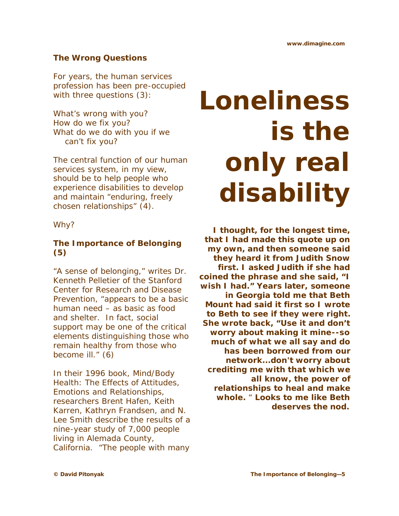#### **The Wrong Questions**

For years, the human services profession has been pre-occupied with three questions (3):

What's wrong with you? How do we fix you? What do we do with you if we can't fix you?

The central function of our human services system, in my view, should be to help people who experience disabilities to develop and maintain "enduring, freely chosen relationships" (4).

Why?

#### **The Importance of Belonging (5)**

"A sense of belonging," writes Dr. Kenneth Pelletier of the Stanford Center for Research and Disease Prevention, "appears to be a basic human need – as basic as food and shelter. In fact, social support may be one of the critical elements distinguishing those who remain healthy from those who become ill." (6)

In their 1996 book, *Mind/Body Health: The Effects of Attitudes, Emotions and Relationships*, researchers Brent Hafen, Keith Karren, Kathryn Frandsen, and N. Lee Smith describe the results of a nine-year study of 7,000 people living in Alemada County, California. "The people with many

## **Loneliness is the only real disability**

**I thought, for the longest time, that I had made this quote up on my own, and then someone said they heard it from Judith Snow first. I asked Judith if she had coined the phrase and she said, "I wish I had." Years later, someone in Georgia told me that Beth Mount had said it first so I wrote to Beth to see if they were right. She wrote back, "Use it and don't worry about making it mine--so much of what we all say and do has been borrowed from our network...don't worry about crediting me with that which we all know, the power of relationships to heal and make whole.** " **Looks to me like Beth deserves the nod.**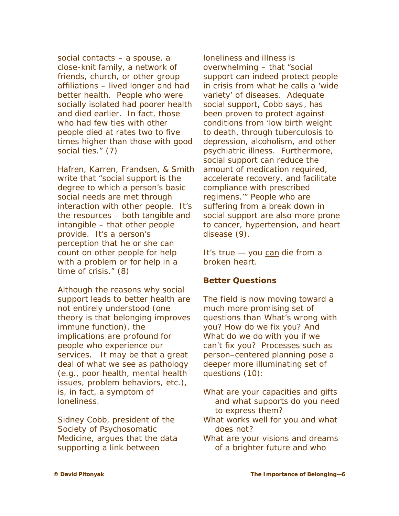social contacts – a spouse, a close-knit family, a network of friends, church, or other group affiliations – lived longer and had better health. People who were socially isolated had poorer health and died earlier. In fact, those who had few ties with other people died at rates two to five times higher than those with good social ties." (7)

Hafren, Karren, Frandsen, & Smith write that "social support is the degree to which a person's basic social needs are met through interaction with other people. It's the resources – both tangible and intangible – that other people provide. It's a person's perception that he or she can count on other people for help with a problem or for help in a time of crisis." (8)

Although the reasons why social support leads to better health are not entirely understood (one theory is that belonging improves immune function), the implications are profound for people who experience our services. It may be that a great deal of what we see as pathology (e.g., poor health, mental health issues, problem behaviors, etc.), is, in fact, a symptom of loneliness.

Sidney Cobb, president of the Society of Psychosomatic Medicine, argues that the data supporting a link between

loneliness and illness is overwhelming – that "social support can indeed protect people in crisis from what he calls a 'wide variety' of diseases. Adequate social support, Cobb says, has been proven to protect against conditions from 'low birth weight to death, through tuberculosis to depression, alcoholism, and other psychiatric illness. Furthermore, social support can reduce the amount of medication required. accelerate recovery, and facilitate compliance with prescribed regimens.'" People who are suffering from a break down in social support are also more prone to cancer, hypertension, and heart disease (9).

It's true  $-$  you can die from a broken heart.

#### **Better Questions**

The field is now moving toward a much more promising set of questions than *What's wrong with you? How do we fix you?* And *What do we do with you if we can't fix you?* Processes such as person–centered planning pose a deeper more illuminating set of questions (10):

*What are your capacities and gifts and what supports do you need to express them? What works well for you and what does not? What are your visions and dreams* 

*of a brighter future and who*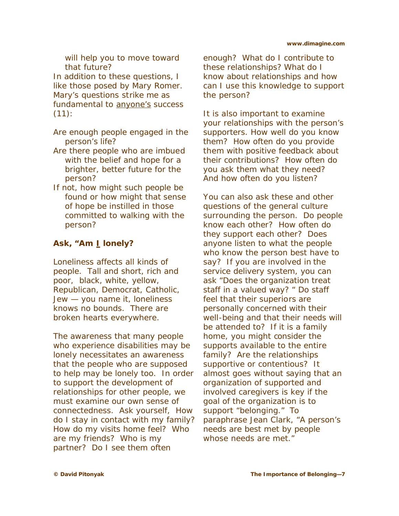### *will help you to move toward that future?*

In addition to these questions, I like those posed by Mary Romer. Mary's questions strike me as fundamental to anyone's success  $(11)$ :

Are enough people engaged in the person's life?

- Are there people who are imbued with the belief and hope for a brighter, better future for the person?
- If not, how might such people be found or how might that sense of hope be instilled in those committed to walking with the person?

### **Ask, "Am I lonely?**

Loneliness affects all kinds of people. Tall and short, rich and poor, black, white, yellow, Republican, Democrat, Catholic, Jew — you name it, loneliness knows no bounds. There are broken hearts everywhere.

The awareness that many people who experience disabilities may be lonely necessitates an awareness that the people who are supposed to help may be lonely too. In order to support the development of relationships for other people, we must examine our own sense of connectedness. Ask yourself, How do I stay in contact with my family? How do my visits home feel? Who are my friends? Who is my partner? Do I see them often

enough? What do I contribute to these relationships? What do I know about relationships and how can I use this knowledge to support the person?

It is also important to examine your relationships with the person's supporters. How well do you know them? How often do you provide them with positive feedback about their contributions? How often do you ask them what they need? And how often do you listen?

You can also ask these and other questions of the general culture surrounding the person. Do people know each other? How often do they support each other? Does anyone listen to what the people who know the person best have to say? If you are involved in the service delivery system, you can ask "Does the organization treat staff in a valued way? " Do staff feel that their superiors are personally concerned with their well-being and that their needs will be attended to? If it is a family home, you might consider the supports available to the entire family? Are the relationships supportive or contentious? It almost goes without saying that an organization of supported and involved caregivers is key if the goal of the organization is to support "belonging." To paraphrase Jean Clark, "A person's needs are best met by people whose needs are met."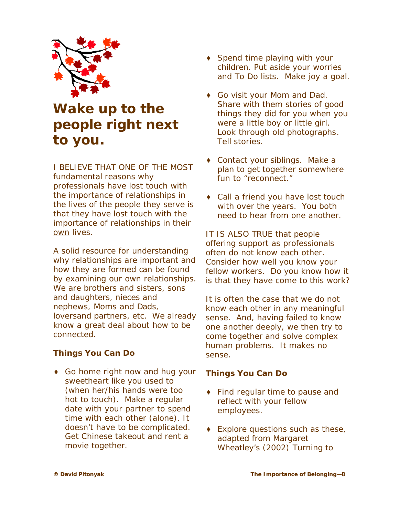

### **Wake up to the people right next to you.**

I BELIEVE THAT ONE OF THE MOST fundamental reasons why professionals have lost touch with the importance of relationships in the lives of the people they serve is that they have lost touch with the importance of relationships in their own lives.

A solid resource for understanding why relationships are important and how they are formed can be found by examining our own relationships. We are brothers and sisters, sons and daughters, nieces and nephews, Moms and Dads, loversand partners, etc. We already know a great deal about *how* to be connected.

### **Things You Can Do**

• Go home right now and hug your sweetheart like you used to (when her/his hands were too hot to touch). Make a regular date with your partner to spend time with each other (alone). It doesn't have to be complicated. Get Chinese takeout and rent a movie together.

- $\bullet$  Spend time playing with your children. Put aside your worries and To Do lists. Make joy a goal.
- ♦ Go visit your Mom and Dad. Share with them stories of good things they did for you when you were a little boy or little girl. Look through old photographs. Tell stories.
- Contact your siblings. Make a plan to get together somewhere fun to "reconnect."
- Call a friend you have lost touch with over the years. You both need to hear from one another.

IT IS ALSO TRUE that people offering support as professionals often do not know each other. Consider how well you know your fellow workers. Do you know how it is that they have come to this work?

It is often the case that we do not know each other in any meaningful sense. And, having failed to know one another deeply, we then try to come together and solve complex human problems. It makes no sense.

### **Things You Can Do**

- ♦ Find regular time to pause and reflect with your fellow employees.
- $\bullet$  Explore questions such as these, adapted from Margaret Wheatley's (2002) *Turning to*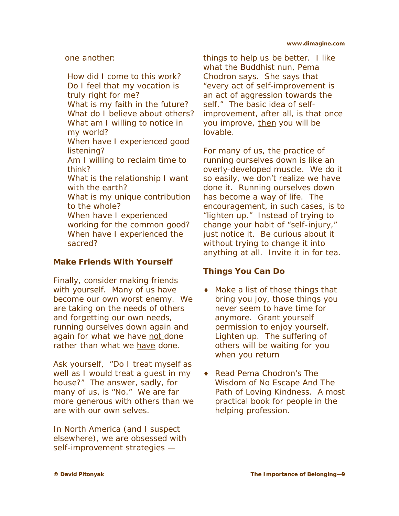#### *one another*:

*How did I come to this work? Do I feel that my vocation is truly right for me? What is my faith in the future? What do I believe about others? What am I willing to notice in my world? When have I experienced good listening? Am I willing to reclaim time to think? What is the relationship I want with the earth? What is my unique contribution to the whole? When have I experienced working for the common good? When have I experienced the sacred?*

### **Make Friends With Yourself**

Finally, consider making friends with yourself. Many of us have become our own worst enemy. We are taking on the needs of others and forgetting our own needs, running ourselves down again and again for what we have not done rather than what we have done.

Ask yourself, "Do I treat myself as well as I would treat a guest in my house?" The answer, sadly, for many of us, is "No." We are far more generous with others than we are with our own selves.

In North America (and I suspect elsewhere), we are obsessed with self-improvement strategies —

things to help us *be* better. I like what the Buddhist nun, Pema Chodron says. She says that "every act of self-improvement is an act of aggression towards the self." The basic idea of selfimprovement, after all, is that once you improve, then you will be lovable.

For many of us, the practice of running ourselves down is like an overly-developed muscle. We do it so easily, we don't realize we have done it. Running ourselves down has become a way of life. The encouragement, in such cases, is to "lighten up." Instead of trying to change your habit of "self-injury," just notice it. Be curious about it without trying to change it into anything at all. Invite it in for tea.

### **Things You Can Do**

- $\bullet$  Make a list of those things that bring you joy, those things you never seem to have time for anymore. Grant yourself permission to enjoy yourself. Lighten up. The suffering of others will be waiting for you when you return
- ♦ Read Pema Chodron's *The Wisdom of No Escape And The Path of Loving Kindness.* A most practical book for people in the helping profession.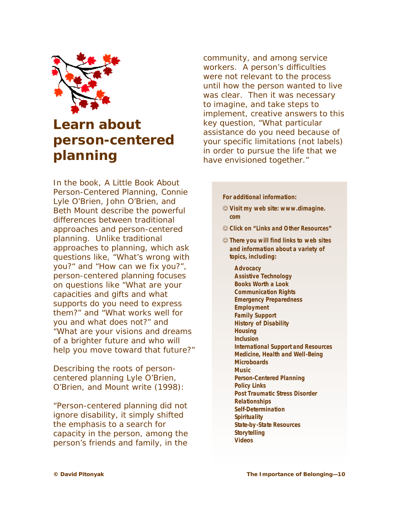

### **Learn about person-centered planning**

In the book, *A Little Book About Person-Centered Planning,* Connie Lyle O'Brien, John O'Brien, and Beth Mount describe the powerful differences between traditional approaches and person-centered planning. Unlike traditional approaches to planning, which ask questions like, "What's wrong with you?" and "How can we *fix* you?", person-centered planning focuses on questions like "What are your capacities and gifts and what supports do you need to express them?" and "What works well for you and what does not?" and "What are your visions and dreams of a brighter future and who will help you move toward that future?"

Describing the roots of personcentered planning Lyle O'Brien, O'Brien, and Mount write (1998):

"Person-centered planning did not ignore disability, it simply shifted the emphasis to a search for capacity in the person, among the person's friends and family, in the

community, and among service workers. A person's difficulties were not relevant to the process until how the person wanted to live was clear. Then it was necessary to imagine, and take steps to implement, creative answers to this key question, "What particular assistance do you need because of your specific limitations (not labels) in order to pursue the life that we have envisioned together."

**For additional information:**

- $\odot$  Visit my web site: www.dimagine. **com**
- $\odot$  Click on "Links and Other Resources"
- $\odot$  There you will find links to web sites **and information about a variety of topics, including:**
	- **Advocacy Assistive Technology Books Worth a Look Communication Rights Emergency Preparedness Employment Family Support History of Disability Housing Inclusion International Support and Resources Medicine, Health and Well-Being Microboards Music Person-Centered Planning Policy Links Post Traumatic Stress Disorder Relationships Self-Determination Spirituality State-by-State Resources Storytelling Videos**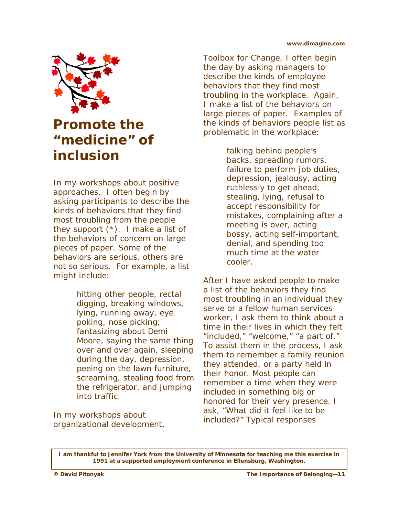

### **Promote the "medicine" of inclusion**

In my workshops about positive approaches, I often begin by asking participants to describe the kinds of behaviors that they find most troubling from the people they support  $(*)$ . I make a list of the behaviors of concern on large pieces of paper. Some of the behaviors are serious, others are not so serious. For example, a list might include:

> *hitting other people, rectal digging, breaking windows, lying, running away, eye poking, nose picking, fantasizing about Demi Moore, saying the same thing over and over again, sleeping during the day, depression, peeing on the lawn furniture, screaming, stealing food from the refrigerator, and jumping into traffic.*

In my workshops about organizational development, *Toolbox for Change,* I often begin the day by asking managers to describe the kinds of employee behaviors that they find most troubling in the workplace. Again, I make a list of the behaviors on large pieces of paper. Examples of the kinds of behaviors people list as problematic in the workplace:

> *talking behind people's backs, spreading rumors, failure to perform job duties, depression, jealousy, acting ruthlessly to get ahead, stealing, lying, refusal to accept responsibility for mistakes, complaining after a meeting is over, acting bossy, acting self-important, denial, and spending too much time at the water cooler.*

After I have asked people to make a list of the behaviors they find most troubling in an individual they serve or a fellow human services worker, I ask them to think about a time in their lives in which they felt "included," "welcome," "a part of." To assist them in the process, I ask them to remember a family reunion they attended, or a party held in their honor. Most people can remember a time when they were included in something big or honored for their very presence. I ask, "What did it *feel* like to be included?" Typical responses

**I am thankful to Jennifer York from the University of Minnesota for teaching me this exercise in 1991 at a supported employment conference in Ellensburg, Washington.**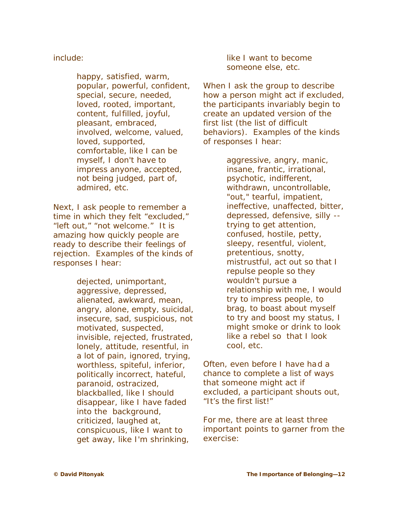#### include:

*happy, satisfied, warm, popular, powerful, confident, special, secure, needed, loved, rooted, important, content, fulfilled, joyful, pleasant, embraced, involved, welcome, valued, loved, supported, comfortable, like I can be myself, I don't have to impress anyone, accepted, not being judged, part of, admired, etc.*

Next, I ask people to remember a time in which they felt "excluded," "left out," "not welcome." It is amazing how quickly people are ready to describe their *feelings* of rejection. Examples of the kinds of responses I hear:

> *dejected, unimportant, aggressive, depressed, alienated, awkward, mean, angry, alone, empty, suicidal, insecure, sad, suspicious, not motivated, suspected, invisible, rejected, frustrated, lonely, attitude, resentful, in a lot of pain, ignored, trying, worthless, spiteful, inferior, politically incorrect, hateful, paranoid, ostracized, blackballed, like I should disappear, like I have faded into the background, criticized, laughed at, conspicuous, like I want to get away, like I'm shrinking,*

*like I want to become someone else, etc.*

When I ask the group to describe how a person might *act* if excluded, the participants invariably begin to create an updated version of the first list (the list of difficult behaviors). Examples of the kinds of responses I hear:

> *aggressive, angry, manic, insane, frantic, irrational, psychotic, indifferent, withdrawn, uncontrollable, "out," tearful, impatient, ineffective, unaffected, bitter, depressed, defensive, silly - trying to get attention, confused, hostile, petty, sleepy, resentful, violent, pretentious, snotty, mistrustful, act out so that I repulse people so they wouldn't pursue a relationship with me, I would try to impress people, to brag, to boast about myself to try and boost my status, I might smoke or drink to look like a rebel so that I look cool, etc.*

Often, even before I have had a chance to complete a list of ways that someone might act if excluded, a participant shouts out, "It's the first list!"

For me, there are at least three important points to garner from the exercise: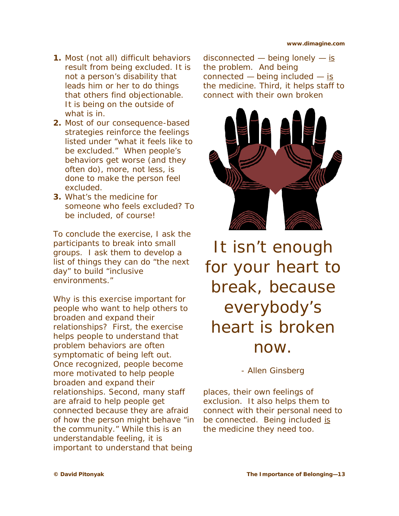- **1.** Most (not all) difficult behaviors result from being excluded. It is not a person's disability that leads him or her to do things that others find objectionable. It is being on the outside of what is in.
- **2.** Most of our consequence-based strategies reinforce the feelings listed under "what it feels like to be excluded." When people's behaviors get worse (and they often do), more, not less, is done to make the person feel excluded.
- **3.** What's the medicine for someone who feels excluded? To be included, of course!

To conclude the exercise, I ask the participants to break into small groups. I ask them to develop a list of things they can do "the next day" to build "inclusive environments."

Why is this exercise important for people who want to help others to broaden and expand their relationships? First, the exercise helps people to understand that problem behaviors are often symptomatic of being left out. Once recognized, people become more motivated to help people broaden and expand their relationships. Second, many staff are afraid to help people get connected because they are afraid of how the person might behave "in the community." While this is an understandable feeling, it is important to understand that being

disconnected  $-$  being lonely  $-$  is the problem. And being connected — being included — is the medicine. Third, it helps staff to connect with their own broken



It isn't enough for your heart to break, because everybody's heart is broken now.

- Allen Ginsberg

places, their own feelings of exclusion. It also helps them to connect with their personal need to be connected. Being included is the medicine they need too.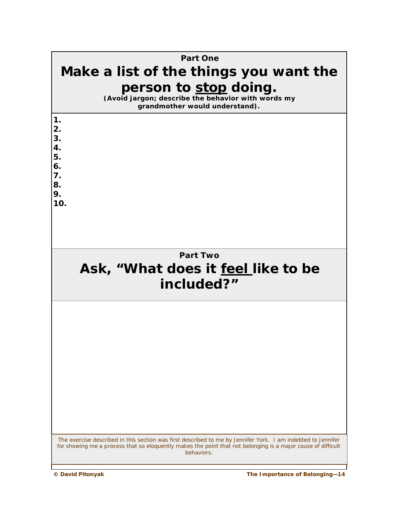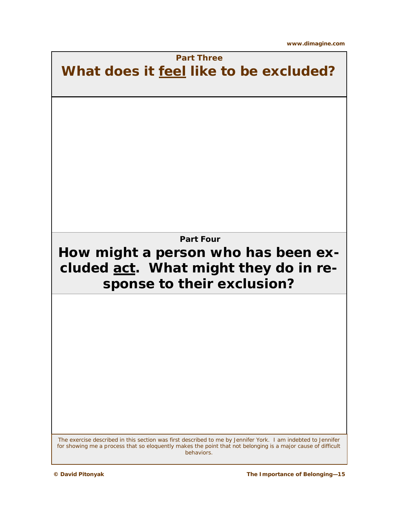**www.dimagine.com**

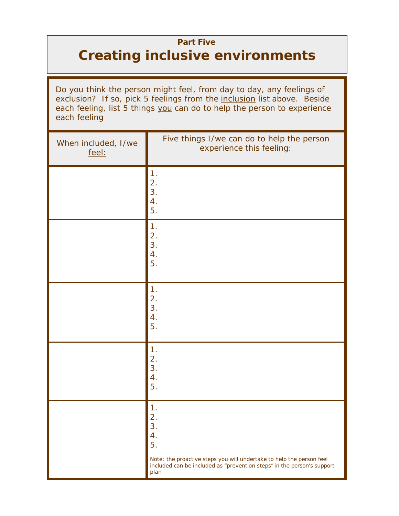### **Part Five**

### **Creating inclusive environments**

Do you think the person might feel, from day to day, any feelings of exclusion? If so, pick 5 feelings from the inclusion list above. Beside each feeling, list 5 things you can do to help the person to experience each feeling

| When included, I/we<br>feel: | Five things I/we can do to help the person<br>experience this feeling:                                                                                                                             |
|------------------------------|----------------------------------------------------------------------------------------------------------------------------------------------------------------------------------------------------|
|                              | 1.<br>$\frac{2}{3}$ .<br>4.<br>5.                                                                                                                                                                  |
|                              | 1.<br>$\frac{2}{3}$ .<br>4.<br>5.                                                                                                                                                                  |
|                              | $\mathbf{1}$ .<br>$\frac{2}{3}$ .<br>4.<br>5.                                                                                                                                                      |
|                              | 1.<br>$\frac{2}{3}$ .<br>4.<br>$\overline{5}$ .                                                                                                                                                    |
|                              | 1.<br>$\overline{2}$ .<br>3.<br>4.<br>5.<br>Note: the proactive steps you will undertake to help the person feel<br>included can be included as "prevention steps" in the person's support<br>plan |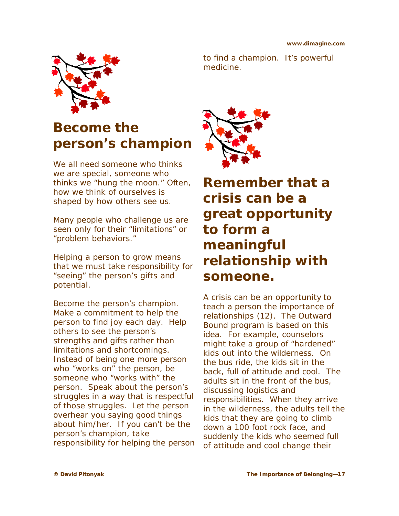

### **Become the person's champion**

We all need someone who thinks we are special, someone who thinks we "hung the moon." Often, how we think of ourselves is shaped by how others see us.

Many people who challenge us are seen only for their "limitations" or "problem behaviors."

Helping a person to grow means that we must take responsibility for "seeing" the person's gifts and potential.

Become the person's champion. Make a commitment to help the person to find joy each day. Help others to see the person's strengths and gifts rather than limitations and shortcomings. Instead of being one more person who "works on" the person, be someone who "works with" the person. Speak about the person's struggles in a way that is respectful of those struggles. Let the person overhear you saying good things about him/her. If you can't be the person's champion, take responsibility for helping the person



medicine.

**Remember that a crisis can be a great opportunity to form a meaningful relationship with someone.**

to find a champion. It's powerful

A crisis can be an *opportunity* to teach a person the importance of relationships (12). The Outward Bound program is based on this idea. For example, counselors might take a group of "hardened" kids out into the wilderness. On the bus ride, the kids sit in the back, full of attitude and cool. The adults sit in the front of the bus, discussing logistics and responsibilities. When they arrive in the wilderness, the adults tell the kids that they are going to climb down a 100 foot rock face, and suddenly the kids who seemed full of attitude and cool change their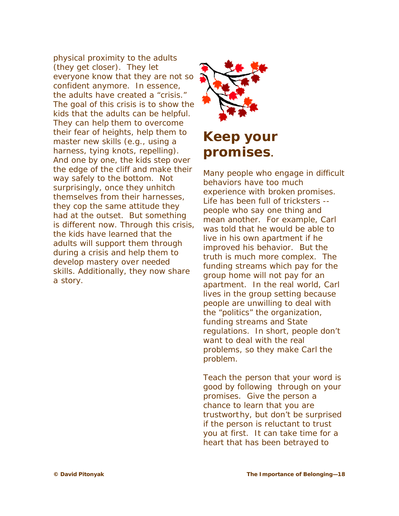physical proximity to the adults (they get closer). They let everyone know that they are not so confident anymore. In essence, the adults have created a "crisis." The goal of this crisis is to show the kids that the adults can be helpful. They can help them to overcome their fear of heights, help them to master new skills (e.g., using a harness, tying knots, repelling). And one by one, the kids step over the edge of the cliff and make their way safely to the bottom. Not surprisingly, once they unhitch themselves from their harnesses, they cop the same attitude they had at the outset. But something is different now. Through this crisis, the kids have learned that the adults will support them through during a crisis and help them to develop mastery over needed skills. Additionally, they now share a *story*.



### **Keep your promises.**

Many people who engage in difficult behaviors have too much experience with *broken* promises. Life has been full of tricksters - people who say one thing and mean another. For example, Carl was told that he would be able to live in his own apartment if he improved his behavior. But the truth is much more complex. The funding streams which pay for the group home will not pay for an apartment. In the *real* world, Carl lives in the group setting because people are unwilling to deal with the "politics" the organization, funding streams and State regulations. In short, people don't want to deal with the *real*  problems, so they make Carl *the* problem.

Teach the person that your word is good by following through on your promises. Give the person a chance to learn that you are trustworthy, but don't be surprised if the person is reluctant to trust you at first. It can take time for a heart that has been betrayed to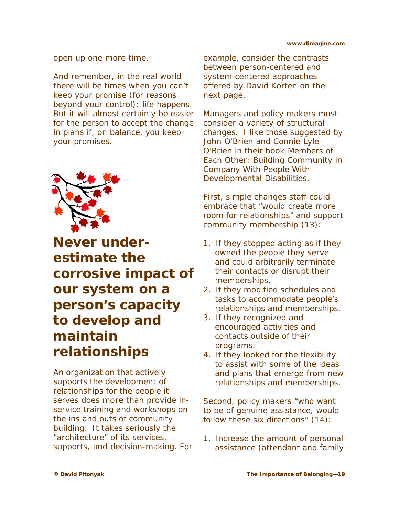open up one more time.

And remember, in the real world there will be times when you can't keep your promise (for reasons beyond your control); life happens. But it will almost certainly be easier for the person to accept the change in plans if, on balance, you keep your promises.



**Never underestimate the corrosive impact of our system on a person's capacity to develop and maintain relationships**

An organization that actively supports the development of relationships for the people it serves does more than provide inservice training and workshops on the ins and outs of community building. It takes seriously the "architecture" of its services, supports, and decision-making. For

example, consider the contrasts between person-centered and system-centered approaches offered by David Korten on the next page.

Managers and policy makers must consider a variety of structural changes. I like those suggested by John O'Brien and Connie Lyle-O'Brien in their book *Members of Each Other: Building Community in Company With People With Developmental Disabilities*.

First, simple changes staff could embrace that "would create more room for relationships" and support community membership (13):

- 1. If they stopped acting as if they owned the people they serve and could arbitrarily terminate their contacts or disrupt their memberships.
- 2. If they modified schedules and tasks to accommodate people's relationships and memberships.
- 3. If they recognized and encouraged activities and contacts outside of their programs.
- 4. If they looked for the flexibility to assist with some of the ideas and plans that emerge from new relationships and memberships.

Second, policy makers "who want to be of genuine assistance, would follow these six directions" (14):

1. Increase the amount of personal assistance (attendant and family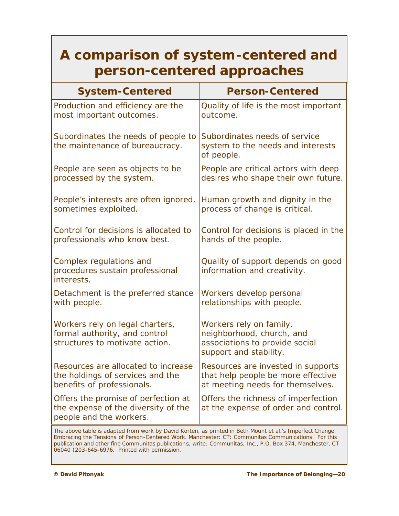### **A comparison of system-centered and person-centered approaches**

| <b>System-Centered</b>                                                                                | <b>Person-Centered</b>                                                                                           |  |  |
|-------------------------------------------------------------------------------------------------------|------------------------------------------------------------------------------------------------------------------|--|--|
| Production and efficiency are the                                                                     | Quality of life is the most important                                                                            |  |  |
| most important outcomes.                                                                              | outcome.                                                                                                         |  |  |
| Subordinates the needs of people to<br>the maintenance of bureaucracy.                                | Subordinates needs of service<br>system to the needs and interests<br>of people.                                 |  |  |
| People are seen as objects to be                                                                      | People are critical actors with deep                                                                             |  |  |
| processed by the system.                                                                              | desires who shape their own future.                                                                              |  |  |
| People's interests are often ignored,                                                                 | Human growth and dignity in the                                                                                  |  |  |
| sometimes exploited.                                                                                  | process of change is critical.                                                                                   |  |  |
| Control for decisions is allocated to                                                                 | Control for decisions is placed in the                                                                           |  |  |
| professionals who know best.                                                                          | hands of the people.                                                                                             |  |  |
| Complex regulations and<br>procedures sustain professional<br>interests.                              | Quality of support depends on good<br>information and creativity.                                                |  |  |
| Detachment is the preferred stance                                                                    | Workers develop personal                                                                                         |  |  |
| with people.                                                                                          | relationships with people.                                                                                       |  |  |
| Workers rely on legal charters,<br>formal authority, and control<br>structures to motivate action.    | Workers rely on family,<br>neighborhood, church, and<br>associations to provide social<br>support and stability. |  |  |
| Resources are allocated to increase                                                                   | Resources are invested in supports                                                                               |  |  |
| the holdings of services and the                                                                      | that help people be more effective                                                                               |  |  |
| benefits of professionals.                                                                            | at meeting needs for themselves.                                                                                 |  |  |
| Offers the promise of perfection at<br>the expense of the diversity of the<br>people and the workers. | Offers the richness of imperfection<br>at the expense of order and control.                                      |  |  |
|                                                                                                       | The above table is adapted from work by David Korten, as printed in Beth Mount et al.'s Imperfect Change:        |  |  |

*Embracing the Tensions of Person-Centered Work.* Manchester: CT: Communitas Communications. For this publication and other fine Communitas publications, write: Communitas, Inc., P.O. Box 374, Manchester, CT 06040 (203-645-6976. Printed with permission.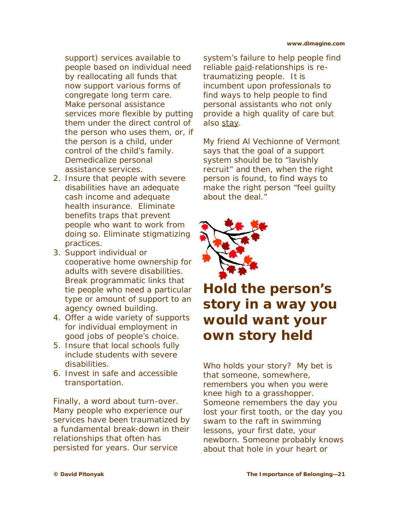support) services available to people based on individual need by reallocating all funds that now support various forms of congregate long term care. Make personal assistance services more flexible by putting them under the direct control of the person who uses them, or, if the person is a child, under control of the child's family. Demedicalize personal assistance services.

- 2. Insure that people with severe disabilities have an adequate cash income and adequate health insurance. Eliminate benefits traps that prevent people who want to work from doing so. Eliminate stigmatizing practices.
- 3. Support individual or cooperative home ownership for adults with severe disabilities. Break programmatic links that tie people who need a particular type or amount of support to an agency owned building.
- 4. Offer a wide variety of supports for individual employment in good jobs of people's choice.
- 5. Insure that local schools fully include students with severe disabilities.
- 6. Invest in safe and accessible transportation.

Finally, a word about turn-over. Many people who experience our services have been traumatized by a fundamental break-down in their relationships that often has persisted for years. Our service

system's failure to help people find reliable paid-relationships is retraumatizing people. It is incumbent upon professionals to find ways to help people to find personal assistants who not only provide a high quality of care but also stay.

My friend Al Vechionne of Vermont says that the goal of a support system should be to "lavishly recruit" and then, when the right person is found, to find ways to make the right person "feel guilty about the deal."



### **Hold the person's story in a way you would want your own story held**

Who holds your story? My bet is that someone, somewhere, remembers you when you were knee high to a grasshopper. Someone remembers the day you lost your first tooth, or the day you swam to the raft in swimming lessons, your first date, your newborn. Someone probably knows about that hole in your heart or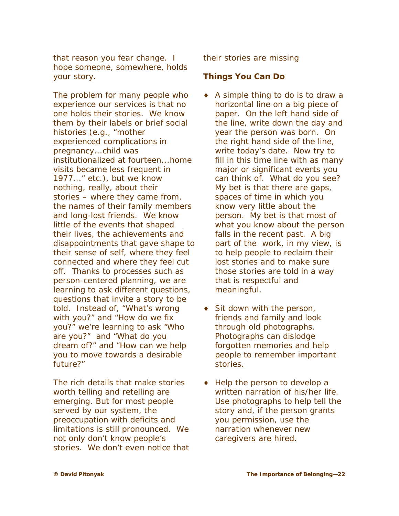that reason you fear change. I hope someone, somewhere, holds your story.

The problem for many people who experience our services is that no one holds their stories. We know them by their labels or brief social histories (e.g., "mother experienced complications in pregnancy...child was institutionalized at fourteen...home visits became less frequent in 1977..." etc.), but we know nothing, really, about their stories – where they came from, the names of their family members and long-lost friends. We know little of the events that shaped their lives, the achievements and disappointments that gave shape to their sense of self, where they feel connected and where they feel cut off. Thanks to processes such as person-centered planning, we are learning to ask different questions, questions that invite a story to be told. Instead of, "What's wrong with you?" and "How do we fix you?" we're learning to ask "*Who* are you?" and "What do you dream of?" and "How can we help you to move towards a desirable future?"

The rich details that make stories worth telling and retelling are emerging. But for most people served by our system, the preoccupation with deficits and limitations is still pronounced. We not only don't know people's stories. We don't even notice that their stories are missing

### **Things You Can Do**

- A simple thing to do is to draw a horizontal line on a big piece of paper. On the left hand side of the line, write down the day and year the person was born. On the right hand side of the line, write today's date. Now try to fill in this time line with as many major or significant events you can think of. What do you see? My bet is that there are gaps, spaces of time in which you know very little about the person. My bet is that most of what you know about the person falls in the recent past. A big part of the work, in my view, is to help people to reclaim their lost stories and to make sure those stories are told in a way that is respectful and meaningful.
- $\bullet$  Sit down with the person, friends and family and look through old photographs. Photographs can dislodge forgotten memories and help people to remember important stories.
- Help the person to develop a written narration of his/her life. Use photographs to help tell the story and, if the person grants you permission, use the narration whenever new caregivers are hired.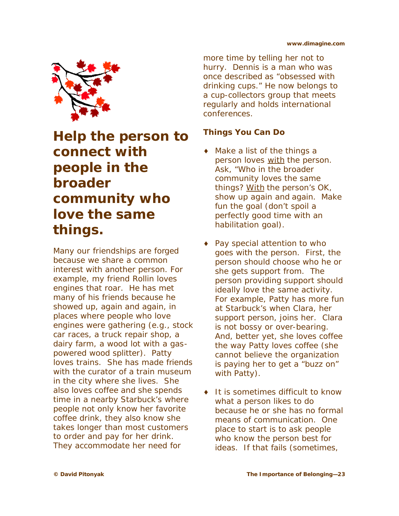

### **Help the person to connect with people in the broader community who love the same things.**

Many our friendships are forged because we share a common interest with another person. For example, my friend Rollin loves engines that roar. He has met many of his friends because he showed up, again and again, in places where people who love engines were gathering (e.g., stock car races, a truck repair shop, a dairy farm, a wood lot with a gaspowered wood splitter). Patty loves trains. She has made friends with the curator of a train museum in the city where she lives. She also loves coffee and she spends time in a nearby Starbuck's where people not only know her favorite coffee drink, they also know she takes longer than most customers to order and pay for her drink. They accommodate her need for

more time by telling her not to hurry. Dennis is a man who was once described as "obsessed with drinking cups." He now belongs to a cup-collectors group that meets regularly and holds international conferences.

### **Things You Can Do**

- $\bullet$  Make a list of the things a person loves with the person. Ask, "Who in the broader community loves the same things? With the person's OK, show up again and again. Make fun the goal (don't spoil a perfectly good time with an habilitation goal).
- ♦ Pay special attention to *who* goes with the person. First, the person should choose who he or she gets support from. The person providing support should ideally love the same activity. For example, Patty has more fun at Starbuck's when Clara, her support person, joins her. Clara is not bossy or over-bearing. And, better yet, she loves coffee the way Patty loves coffee (she cannot believe the organization is paying her to get a "buzz on" with Patty).
- It is sometimes difficult to know what a person likes to do because he or she has no formal means of communication. One place to start is to ask people who know the person best for ideas. If that fails (sometimes,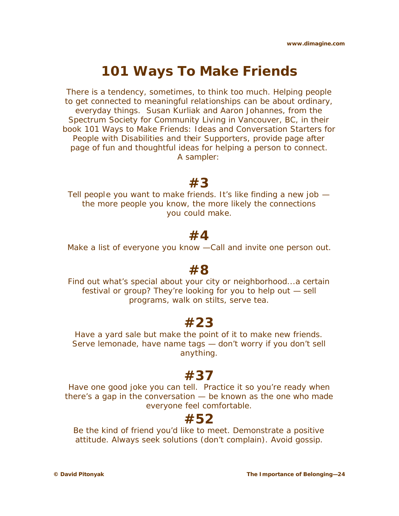### **101 Ways To Make Friends**

There is a tendency, sometimes, to think too much. Helping people to get connected to meaningful relationships can be about ordinary, everyday things. Susan Kurliak and Aaron Johannes, from the Spectrum Society for Community Living in Vancouver, BC, in their book *101 Ways to Make Friends: Ideas and Conversation Starters for People with Disabilities and their Supporters,* provide page after page of fun and thoughtful ideas for helping a person to connect. A sampler:

### **#3**

Tell people you want to make friends. It's like finding a new job the more people you know, the more likely the connections you could make.

### **#4**

Make a list of everyone you know —Call and invite one person out.

### **#8**

Find out what's special about your city or neighborhood...a certain festival or group? They're looking for you to help out — sell programs, walk on stilts, serve tea.

### **#23**

Have a yard sale but make the point of it to make new friends. Serve lemonade, have name tags — don't worry if you don't sell anything.

### **#37**

Have one good joke you can tell. Practice it so you're ready when there's a gap in the conversation — be known as the one who made everyone feel comfortable.

### **#52**

Be the kind of friend you'd like to meet. Demonstrate a positive attitude. Always seek solutions (don't complain). Avoid gossip.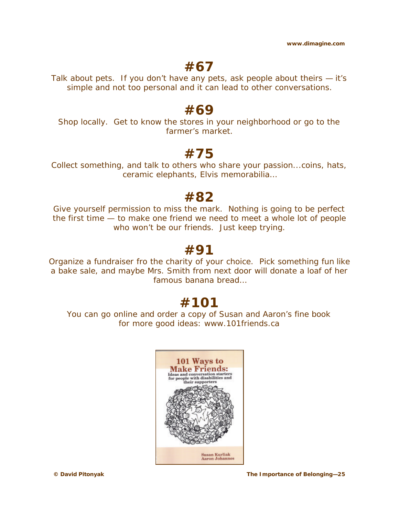### **#67**

Talk about pets. If you don't have any pets, ask people about theirs — it's simple and not too personal and it can lead to other conversations.

### **#69**

Shop locally. Get to know the stores in your neighborhood or go to the farmer's market.

### **#75**

Collect something, and talk to others who share your passion...coins, hats, ceramic elephants, Elvis memorabilia…

### **#82**

Give yourself permission to miss the mark. Nothing is going to be perfect the first time — to make one friend we need to meet a whole lot of people who won't be our friends. Just keep trying.

### **#91**

Organize a fundraiser fro the charity of your choice. Pick something fun like a bake sale, and maybe Mrs. Smith from next door will donate a loaf of her famous banana bread…

### **#101**

You can go online and order a copy of Susan and Aaron's fine book for more good ideas: www.101friends.ca

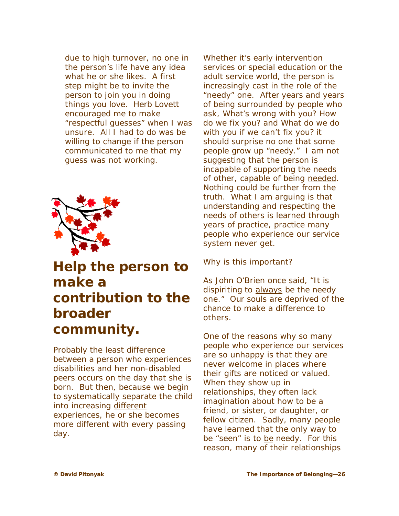due to high turnover, no one in the person's life have any idea what he or she likes. A first step might be to invite the person to join you in doing things you love. Herb Lovett encouraged me to make "respectful guesses" when I was unsure. All I had to do was be willing to change if the person communicated to me that my guess was not working.



### **Help the person to make a contribution to the broader community.**

Probably the least difference between a person who experiences disabilities and her non-disabled peers occurs on the day that she is born. But then, because we begin to systematically separate the child into increasing different experiences, he or she becomes more different with every passing day.

Whether it's early intervention services or special education or the adult service world, the person is increasingly cast in the role of the "needy" one. After years and years of being surrounded by people who ask, *What's wrong with you? How do we fix you?* and *What do we do with you if we can't fix you?* it should surprise no one that some people grow up "needy." I am not suggesting that the person is incapable of supporting the needs of other, capable of being needed. Nothing could be further from the truth. What I am arguing is that understanding and respecting the needs of others is learned through years of practice, practice many people who experience our service system never get.

Why is this important?

As John O'Brien once said, "It is dispiriting to always be the needy one." Our souls are deprived of the chance to make a difference to others.

One of the reasons why so many people who experience our services are so unhappy is that they are never welcome in places where their gifts are noticed or valued. When they show up in relationships, they often lack imagination about how to be a friend, or sister, or daughter, or fellow citizen. Sadly, many people have learned that the only way to be "seen" is to be needy. For this reason, many of their relationships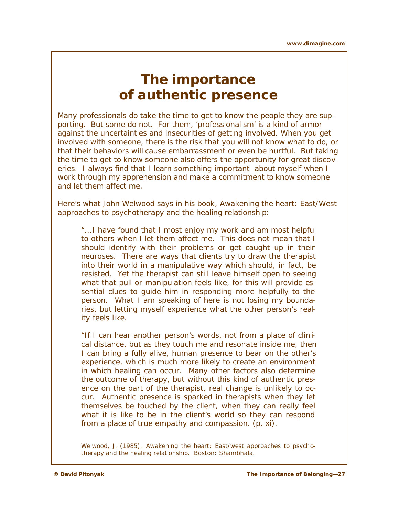### **The importance of authentic presence**

Many professionals *do* take the time to get to know the people they are supporting. But some do not. For them, 'professionalism' is a kind of armor against the uncertainties and insecurities of getting involved. When you get involved with someone, there is the risk that you will not know what to do, or that their behaviors will cause embarrassment or even be hurtful. But taking the time to get to know someone also offers the opportunity for great discoveries. I always find that I learn something important about myself when I work through my apprehension and make a commitment to know someone and let them affect me.

Here's what John Welwood says in his book, *Awakening the heart: East/West approaches to psychotherapy and the healing relationship:*

"...I have found that I most enjoy my work and am most helpful to others when I let them affect me. This does not mean that I should identify with their problems or get caught up in their neuroses. There are ways that clients try to draw the therapist into their world in a manipulative way which should, in fact, be resisted. Yet the therapist can still leave himself open to seeing what that pull or manipulation feels like, for this will provide essential clues to guide him in responding more helpfully to the person. What I am speaking of here is not losing my boundaries, but letting myself experience what the other person's reality feels like.

"If I can hear another person's words, not from a place of clinical distance, but as they touch me and resonate inside me, then I can bring a fully alive, human presence to bear on the other's experience, which is much more likely to create an environment in which healing can occur. Many other factors also determine the outcome of therapy, but without this kind of authentic presence on the part of the therapist, real change is unlikely to occur. Authentic presence is sparked in therapists when they let themselves be touched by the client, when they can really feel what it is like to be in the client's world so they can respond from a place of true empathy and compassion. (p. xi).

Welwood, J. (1985). *Awakening the heart: East/west approaches to psychotherapy and the healing relationship.* Boston: Shambhala.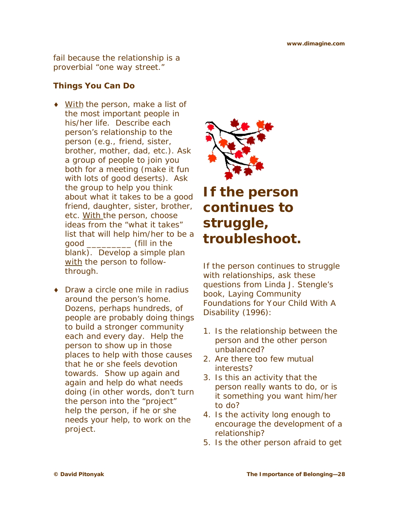fail because the relationship is a proverbial "one way street."

#### **Things You Can Do**

- ♦ With the person, make a list of the most important people in his/her life. Describe each person's relationship to the person (e.g., friend, sister, brother, mother, dad, etc.). Ask a group of people to join you both for a meeting (make it fun with lots of good deserts). Ask the group to help you think about what it takes to be a good friend, daughter, sister, brother, etc. With the person, choose ideas from the "what it takes" list that will help him/her to be a good \_\_\_\_\_\_\_\_\_ (fill in the blank). Develop a simple plan with the person to followthrough.
- Draw a circle one mile in radius around the person's home. Dozens, perhaps hundreds, of people are probably doing things to build a stronger community each and every day. Help the person to show up in those places to help with those causes that he or she feels devotion towards. Show up again and again and help do what needs doing (in other words, don't turn the person into the "project" help the person, if he or she needs your help, to work on the project.



**If the person continues to struggle, troubleshoot.** 

If the person continues to struggle with relationships, ask these questions from Linda J. Stengle's book, *Laying Community Foundations for Your Child With A Disability* (1996):

- 1. Is the relationship between the person and the other person unbalanced?
- 2. Are there too few mutual interests?
- 3. Is this an activity that the person really wants to do, or is it something you want him/her to do?
- 4. Is the activity long enough to encourage the development of a relationship?
- 5. Is the other person afraid to get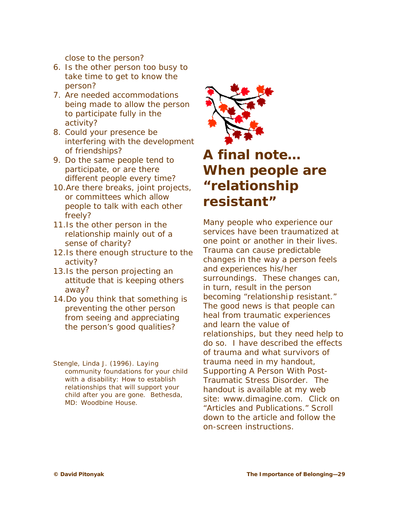close to the person?

- 6. Is the other person too busy to take time to get to know the person?
- 7. Are needed accommodations being made to allow the person to participate fully in the activity?
- 8. Could your presence be interfering with the development of friendships?
- 9. Do the same people tend to participate, or are there different people every time?
- 10.Are there breaks, joint projects, or committees which allow people to talk with each other freely?
- 11.Is the other person in the relationship mainly out of a sense of charity?
- 12.Is there enough structure to the activity?
- 13.Is the person projecting an attitude that is keeping others away?
- 14.Do you think that something is preventing the other person from seeing and appreciating the person's good qualities?
- Stengle, Linda J. (1996). *Laying community foundations for your child with a disability: How to establish relationships that will support your child after you are gone.* Bethesda, MD: Woodbine House.



### **A final note… When people are "relationship resistant"**

Many people who experience our services have been traumatized at one point or another in their lives. Trauma can cause predictable changes in the way a person feels and experiences his/her surroundings. These changes can, in turn, result in the person becoming "relationship resistant." The good news is that people can heal from traumatic experiences and learn the value of relationships, but they need help to do so. I have described the effects of trauma and what survivors of trauma need in my handout, *Supporting A Person With Post-Traumatic Stress Disorder.* The handout is available at my web site: www.dimagine.com. Click on "Articles and Publications." Scroll down to the article and follow the on-screen instructions.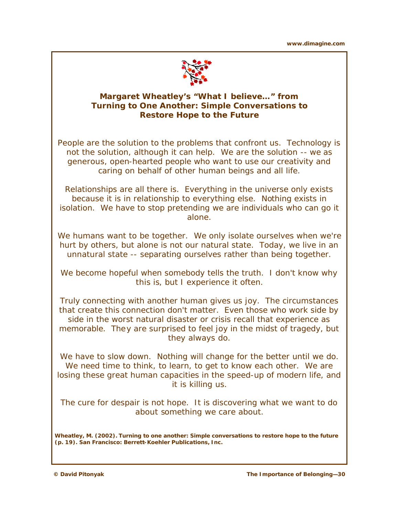

### **Margaret Wheatley's "What I believe…" from** *Turning to One Another: Simple Conversations to Restore Hope to the Future*

*People are the solution to the problems that confront us. Technology is not the solution, although it can help. We are the solution -- we as generous, open-hearted people who want to use our creativity and caring on behalf of other human beings and all life.*

*Relationships are all there is. Everything in the universe only exists because it is in relationship to everything else. Nothing exists in isolation. We have to stop pretending we are individuals who can go it alone.*

*We humans want to be together. We only isolate ourselves when we're hurt by others, but alone is not our natural state. Today, we live in an unnatural state -- separating ourselves rather than being together.* 

*We become hopeful when somebody tells the truth. I don't know why this is, but I experience it often.*

*Truly connecting with another human gives us joy. The circumstances that create this connection don't matter. Even those who work side by side in the worst natural disaster or crisis recall that experience as memorable. They are surprised to feel joy in the midst of tragedy, but they always do.*

*We have to slow down. Nothing will change for the better until we do. We need time to think, to learn, to get to know each other. We are losing these great human capacities in the speed-up of modern life, and it is killing us.*

*The cure for despair is not hope. It is discovering what we want to do about something we care about.*

**Wheatley, M. (2002).** *Turning to one another: Simple conversations to restore hope to the future*  **(p. 19). San Francisco: Berrett-Koehler Publications, Inc.**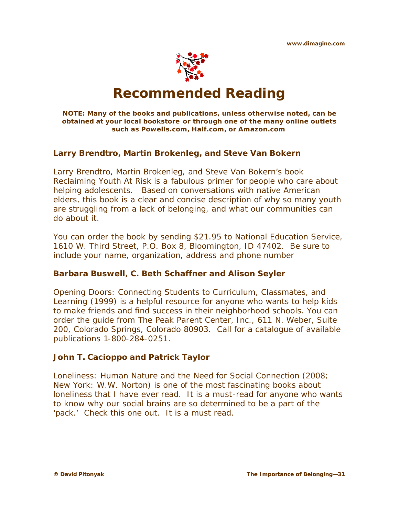

### **Recommended Reading**

#### **NOTE: Many of the books and publications, unless otherwise noted, can be obtained at your local bookstore or through one of the many online outlets such as Powells.com, Half.com, or Amazon.com**

#### **Larry Brendtro, Martin Brokenleg, and Steve Van Bokern**

Larry Brendtro, Martin Brokenleg, and Steve Van Bokern's book *Reclaiming Youth At Risk is a* fabulous primer for people who care about helping adolescents. Based on conversations with native American elders, this book is a clear and concise description of why so many youth are struggling from a lack of belonging, and what our communities can do about it.

You can order the book by sending \$21.95 to National Education Service, 1610 W. Third Street, P.O. Box 8, Bloomington, ID 47402. Be sure to include your name, organization, address and phone number

#### **Barbara Buswell, C. Beth Schaffner and Alison Seyler**

*Opening Doors: Connecting Students to Curriculum, Classmates, and Learning* (1999) is a helpful resource for anyone who wants to help kids to make friends and find success in their neighborhood schools. You can order the guide from The Peak Parent Center, Inc., 611 N. Weber, Suite 200, Colorado Springs, Colorado 80903. Call for a catalogue of available publications 1-800-284-0251.

#### **John T. Cacioppo and Patrick Taylor**

*Loneliness: Human Nature and the Need for Social Connection* (2008; New York: W.W. Norton) is one of the most fascinating books about loneliness that I have *ever* read. It is a must-read for anyone who wants to know why our social brains are so determined to be a part of the 'pack.' Check this one out. It is a must read.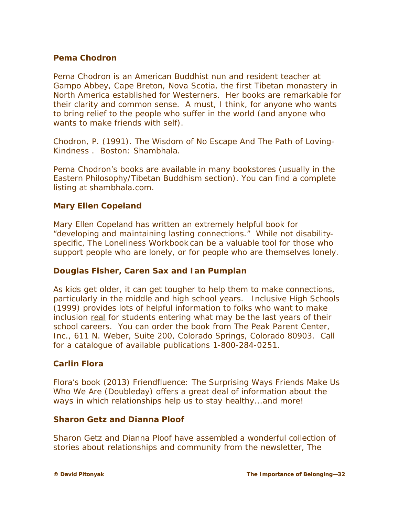### **Pema Chodron**

Pema Chodron is an American Buddhist nun and resident teacher at Gampo Abbey, Cape Breton, Nova Scotia, the first Tibetan monastery in North America established for Westerners. Her books are remarkable for their clarity and common sense. A must, I think, for anyone who wants to bring relief to the people who suffer in the world (and anyone who wants to make friends with self).

Chodron, P. (1991). *The Wisdom of No Escape And The Path of Loving-Kindness .* Boston: Shambhala.

Pema Chodron's books are available in many bookstores (usually in the Eastern Philosophy/Tibetan Buddhism section). You can find a complete listing at shambhala.com.

### **Mary Ellen Copeland**

Mary Ellen Copeland has written an extremely helpful book for "developing and maintaining lasting connections." While not disabilityspecific, *The Loneliness Workbook* can be a valuable tool for those who support people who are lonely, or for people who are themselves lonely.

### **Douglas Fisher, Caren Sax and Ian Pumpian**

As kids get older, it can get tougher to help them to make connections, particularly in the middle and high school years. *Inclusive High Schools*  (1999) provides lots of helpful information to folks who want to make inclusion real for students entering what may be the last years of their school careers. You can order the book from The Peak Parent Center, Inc., 611 N. Weber, Suite 200, Colorado Springs, Colorado 80903. Call for a catalogue of available publications 1-800-284-0251.

### **Carlin Flora**

Flora's book (2013) *Friendfluence: The Surprising Ways Friends Make Us Who We Are* (Doubleday) offers a great deal of information about the ways in which relationships help us to stay healthy...and more!

### **Sharon Getz and Dianna Ploof**

Sharon Getz and Dianna Ploof have assembled a wonderful collection of stories about relationships and community from the newsletter, *The*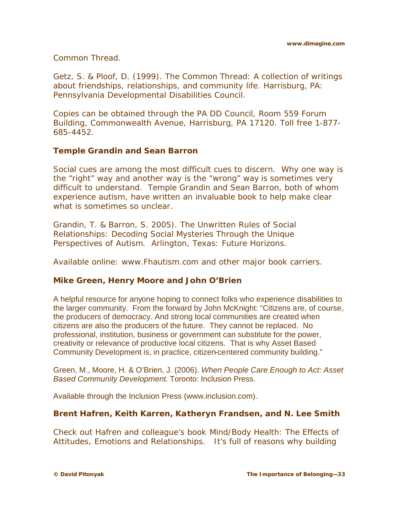*Common Thread.* 

Getz, S. & Ploof, D. (1999). *The Common Thread: A collection of writings about friendships, relationships, and community life.* Harrisburg, PA: Pennsylvania Developmental Disabilities Council.

Copies can be obtained through the PA DD Council, Room 559 Forum Building, Commonwealth Avenue, Harrisburg, PA 17120. Toll free 1-877- 685-4452.

#### **Temple Grandin and Sean Barron**

Social cues are among the most difficult cues to discern. Why one way is the "right" way and another way is the "wrong" way is sometimes very difficult to understand. Temple Grandin and Sean Barron, both of whom experience autism, have written an invaluable book to help make clear what is sometimes so unclear.

Grandin, T. & Barron, S. 2005). *The Unwritten Rules of Social Relationships: Decoding Social Mysteries Through the Unique Perspectives of Autism*. Arlington, Texas: Future Horizons.

Available online: www.Fhautism.com and other major book carriers.

#### **Mike Green, Henry Moore and John O'Brien**

A helpful resource for anyone hoping to connect folks who experience disabilities to the larger community. From the forward by John McKnight: "Citizens are, of course, the producers of democracy. And strong local communities are created when citizens are also the producers of the future. They cannot be replaced. No professional, institution, business or government can substitute for the power, creativity or relevance of productive local citizens. That is why Asset Based Community Development is, in practice, citizen-centered community building."

Green, M., Moore, H. & O'Brien, J. (2006). *When People Care Enough to Act: Asset Based Community Development*. Toronto: Inclusion Press.

Available through the Inclusion Press (www.inclusion.com).

#### **Brent Hafren, Keith Karren, Katheryn Frandsen, and N. Lee Smith**

Check out Hafren and colleague's book *Mind/Body Health: The Effects of Attitudes, Emotions and Relationships.* It's full of reasons why building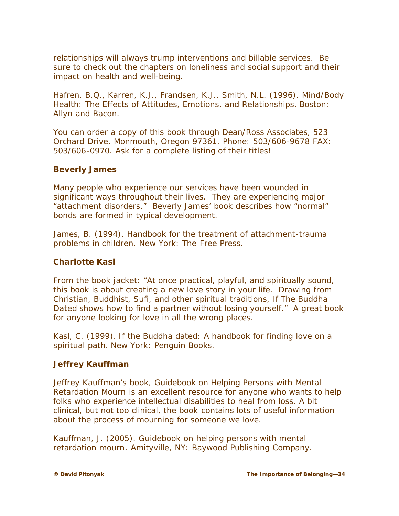relationships will always trump interventions and billable services. Be sure to check out the chapters on loneliness and social support and their impact on health and well-being.

Hafren, B.Q., Karren, K.J., Frandsen, K.J., Smith, N.L. (1996). *Mind/Body Health: The Effects of Attitudes, Emotions, and Relationships.* Boston: Allyn and Bacon.

You can order a copy of this book through Dean/Ross Associates, 523 Orchard Drive, Monmouth, Oregon 97361. Phone: 503/606-9678 FAX: 503/606-0970. Ask for a complete listing of their titles!

### **Beverly James**

Many people who experience our services have been wounded in significant ways throughout their lives. They are experiencing major "attachment disorders." Beverly James' book describes how "normal" bonds are formed in typical development.

James, B. (1994). *Handbook for the treatment of attachment-trauma problems in children.* New York: The Free Press.

### **Charlotte Kasl**

From the book jacket: "At once practical, playful, and spiritually sound, this book is about creating a new love story in your life. Drawing from Christian, Buddhist, Sufi, and other spiritual traditions, *If The Buddha Dated* shows how to find a partner without losing yourself." A great book for anyone looking for love in all the wrong places.

Kasl, C. (1999). *If the Buddha dated: A handbook for finding love on a spiritual path.* New York: Penguin Books.

### **Jeffrey Kauffman**

Jeffrey Kauffman's book, *Guidebook on Helping Persons with Mental Retardation Mourn* is an excellent resource for anyone who wants to help folks who experience intellectual disabilities to heal from loss. A bit clinical, but not too clinical, the book contains lots of useful information about the process of mourning for someone we love.

Kauffman, J. (2005). *Guidebook on helping persons with mental retardation mourn*. Amityville, NY: Baywood Publishing Company.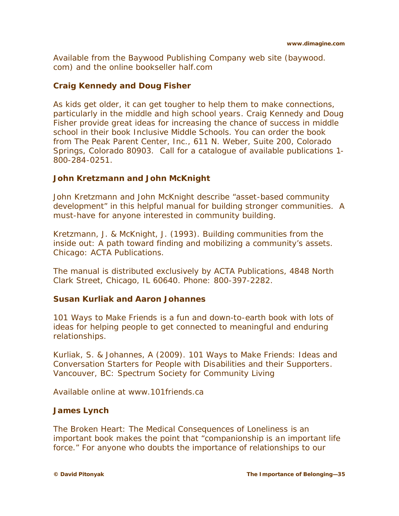Available from the Baywood Publishing Company web site (baywood. com) and the online bookseller half.com

### **Craig Kennedy and Doug Fisher**

As kids get older, it can get tougher to help them to make connections, particularly in the middle and high school years. Craig Kennedy and Doug Fisher provide great ideas for increasing the chance of success in middle school in their book *Inclusive Middle Schools.* You can order the book from The Peak Parent Center, Inc., 611 N. Weber, Suite 200, Colorado Springs, Colorado 80903. Call for a catalogue of available publications 1- 800-284-0251.

### **John Kretzmann and John McKnight**

John Kretzmann and John McKnight describe "asset-based community development" in this helpful manual for building stronger communities. A must-have for anyone interested in community building.

Kretzmann, J. & McKnight, J. (1993). *Building communities from the inside out: A path toward finding and mobilizing a community's assets.*  Chicago: ACTA Publications.

The manual is distributed exclusively by ACTA Publications, 4848 North Clark Street, Chicago, IL 60640. Phone: 800-397-2282.

#### **Susan Kurliak and Aaron Johannes**

*101 Ways to Make Friends* is a fun and down-to-earth book with lots of ideas for helping people to get connected to meaningful and enduring relationships.

Kurliak, S. & Johannes, A (2009). *101 Ways to Make Friends: Ideas and Conversation Starters for People with Disabilities and their Supporters*. Vancouver, BC: Spectrum Society for Community Living

Available online at www.101friends.ca

#### **James Lynch**

*The Broken Heart: The Medical Consequences of Loneliness* is an important book makes the point that "companionship is an important life force." For anyone who doubts the importance of relationships to our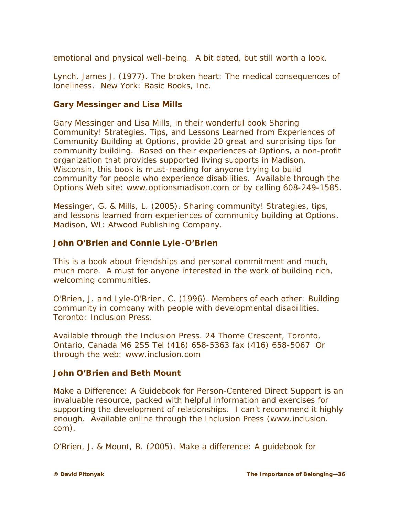emotional and physical well-being. A bit dated, but still worth a look.

Lynch, James J. (1977). *The broken heart: The medical consequences of loneliness*. New York: Basic Books, Inc.

### **Gary Messinger and Lisa Mills**

Gary Messinger and Lisa Mills, in their wonderful book *Sharing Community! Strategies, Tips, and Lessons Learned from Experiences of Community Building at Options*, provide 20 great and surprising tips for community building. Based on their experiences at Options, a non-profit organization that provides supported living supports in Madison, Wisconsin, this book is must-reading for anyone trying to build community for people who experience disabilities. Available through the Options Web site: www.optionsmadison.com or by calling 608-249-1585.

Messinger, G. & Mills, L. (2005). *Sharing community! Strategies, tips, and lessons learned from experiences of community building at Options*. Madison, WI: Atwood Publishing Company.

### **John O'Brien and Connie Lyle-O'Brien**

This is a book about friendships and personal commitment and much, much more. A must for anyone interested in the work of building rich, welcoming communities.

O'Brien, J. and Lyle-O'Brien, C. (1996). *Members of each other: Building community in company with people with developmental disabilities.* Toronto: Inclusion Press.

Available through the Inclusion Press. 24 Thome Crescent, Toronto, Ontario, Canada M6 2S5 Tel (416) 658-5363 fax (416) 658-5067 Or through the web: www.inclusion.com

### **John O'Brien and Beth Mount**

*Make a Difference: A Guidebook for Person-Centered Direct Support* is an invaluable resource, packed with helpful information and exercises for supporting the development of relationships. I can't recommend it highly enough. Available online through the Inclusion Press (www.inclusion. com).

O'Brien, J. & Mount, B. (2005). *Make a difference: A guidebook for*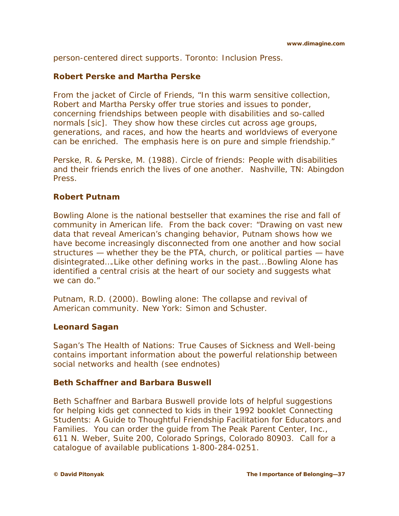*person-centered direct supports*. Toronto: Inclusion Press.

#### **Robert Perske and Martha Perske**

From the jacket of *Circle of Friends*, "In this warm sensitive collection, Robert and Martha Persky offer true stories and issues to ponder, concerning friendships between people with disabilities and so-called normals [sic]. They show how these circles cut across age groups, generations, and races, and how the hearts and worldviews of everyone can be enriched. The emphasis here is on pure and simple friendship."

Perske, R. & Perske, M. (1988). *Circle of friends: People with disabilities and their friends enrich the lives of one another.* Nashville, TN: Abingdon Press.

#### **Robert Putnam**

*Bowling Alone* is the national bestseller that examines the rise and fall of community in American life. From the back cover: "Drawing on vast new data that reveal American's changing behavior, Putnam shows how we have become increasingly disconnected from one another and how social structures — whether they be the PTA, church, or political parties — have disintegrated….Like other defining works in the past...*Bowling Alone* has identified a central crisis at the heart of our society and suggests what we can do."

Putnam, R.D. (2000). *Bowling alone: The collapse and revival of American community.* New York: Simon and Schuster.

#### **Leonard Sagan**

Sagan's The Health of Nations: True Causes of Sickness and Well-being contains important information about the powerful relationship between social networks and health (see endnotes)

#### **Beth Schaffner and Barbara Buswell**

Beth Schaffner and Barbara Buswell provide lots of helpful suggestions for helping kids get connected to kids in their 1992 booklet *Connecting Students: A Guide to Thoughtful Friendship Facilitation for Educators and Families*. You can order the guide from The Peak Parent Center, Inc., 611 N. Weber, Suite 200, Colorado Springs, Colorado 80903. Call for a catalogue of available publications 1-800-284-0251.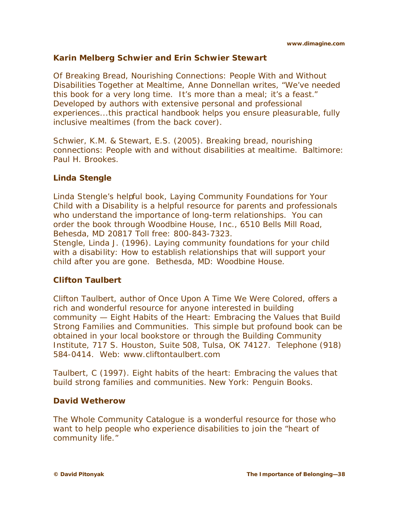### **Karin Melberg Schwier and Erin Schwier Stewart**

Of *Breaking Bread, Nourishing Connections: People With and Without Disabilities Together at Mealtime,* Anne Donnellan writes, "We've needed this book for a very long time. It's more than a meal; it's a feast." Developed by authors with extensive personal and professional experiences...this practical handbook helps you ensure pleasurable, fully inclusive mealtimes (from the back cover).

Schwier, K.M. & Stewart, E.S. (2005). *Breaking bread, nourishing connections: People with and without disabilities at mealtime.* Baltimore: Paul H. Brookes.

### **Linda Stengle**

Linda Stengle's helpful book, *Laying Community Foundations for Your Child with a Disability* is a helpful resource for parents and professionals who understand the importance of long-term relationships. You can order the book through Woodbine House, Inc., 6510 Bells Mill Road, Behesda, MD 20817 Toll free: 800-843-7323.

Stengle, Linda J. (1996). *Laying community foundations for your child with a disability: How to establish relationships that will support your child after you are gone.* Bethesda, MD: Woodbine House.

### **Clifton Taulbert**

Clifton Taulbert, author of *Once Upon A Time We Were Colored*, offers a rich and wonderful resource for anyone interested in building community — *Eight Habits of the Heart: Embracing the Values that Build Strong Families and Communities.* This simple but profound book can be obtained in your local bookstore or through the Building Community Institute, 717 S. Houston, Suite 508, Tulsa, OK 74127. Telephone (918) 584-0414. Web: www.cliftontaulbert.com

Taulbert, C (1997). *Eight habits of the heart: Embracing the values that build strong families and communities.* New York: Penguin Books.

### **David Wetherow**

*The Whole Community Catalogue* is a wonderful resource for those who want to help people who experience disabilities to join the "heart of community life."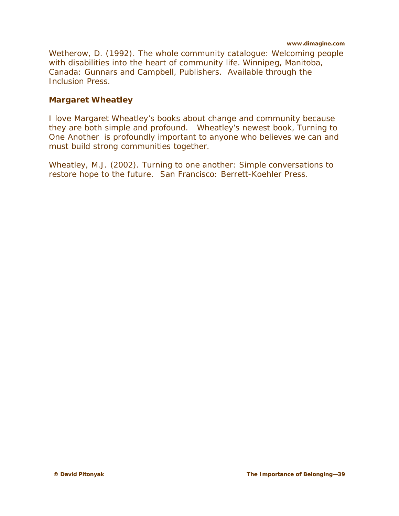**www.dimagine.com**

Wetherow, D. (1992). *The whole community catalogue: Welcoming people with disabilities into the heart of community life.* Winnipeg, Manitoba, Canada: Gunnars and Campbell, Publishers. Available through the Inclusion Press.

### **Margaret Wheatley**

I love Margaret Wheatley's books about change and community because they are both simple and profound. Wheatley's newest book, *Turning to One Another* is profoundly important to anyone who believes we can and must build strong communities together.

Wheatley, M.J. (2002). *Turning to one another: Simple conversations to restore hope to the future*. San Francisco: Berrett-Koehler Press.